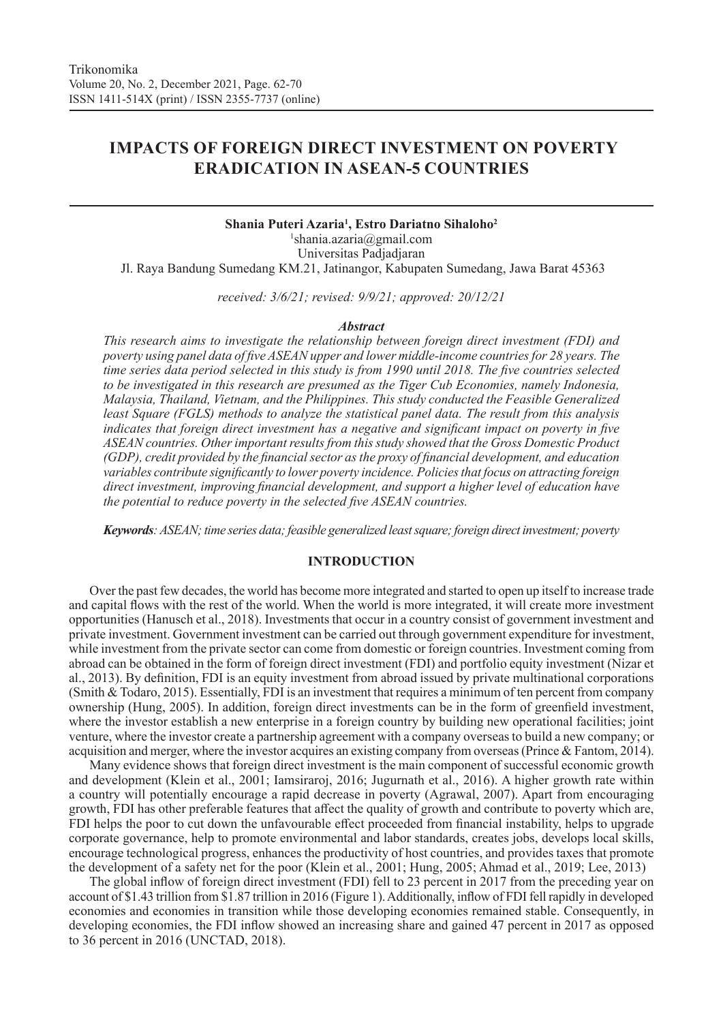# **IMPACTS OF FOREIGN DIRECT INVESTMENT ON POVERTY ERADICATION IN ASEAN-5 COUNTRIES**

**Shania Puteri Azaria1 , Estro Dariatno Sihaloho2** 1 shania.azaria@gmail.com Universitas Padjadjaran Jl. Raya Bandung Sumedang KM.21, Jatinangor, Kabupaten Sumedang, Jawa Barat 45363

*received: 3/6/21; revised: 9/9/21; approved: 20/12/21*

#### *Abstract*

*This research aims to investigate the relationship between foreign direct investment (FDI) and poverty using panel data of five ASEAN upper and lower middle-income countries for 28 years. The time series data period selected in this study is from 1990 until 2018. The five countries selected to be investigated in this research are presumed as the Tiger Cub Economies, namely Indonesia, Malaysia, Thailand, Vietnam, and the Philippines. This study conducted the Feasible Generalized least Square (FGLS) methods to analyze the statistical panel data. The result from this analysis indicates that foreign direct investment has a negative and significant impact on poverty in five ASEAN countries. Other important results from this study showed that the Gross Domestic Product (GDP), credit provided by the financial sector as the proxy of financial development, and education variables contribute significantly to lower poverty incidence. Policies that focus on attracting foreign direct investment, improving financial development, and support a higher level of education have the potential to reduce poverty in the selected five ASEAN countries.* 

*Keywords: ASEAN; time series data; feasible generalized least square; foreign direct investment; poverty*

## **INTRODUCTION**

Over the past few decades, the world has become more integrated and started to open up itself to increase trade and capital flows with the rest of the world. When the world is more integrated, it will create more investment opportunities (Hanusch et al., 2018). Investments that occur in a country consist of government investment and private investment. Government investment can be carried out through government expenditure for investment, while investment from the private sector can come from domestic or foreign countries. Investment coming from abroad can be obtained in the form of foreign direct investment (FDI) and portfolio equity investment (Nizar et al., 2013). By definition, FDI is an equity investment from abroad issued by private multinational corporations (Smith & Todaro, 2015). Essentially, FDI is an investment that requires a minimum of ten percent from company ownership (Hung, 2005). In addition, foreign direct investments can be in the form of greenfield investment, where the investor establish a new enterprise in a foreign country by building new operational facilities; joint venture, where the investor create a partnership agreement with a company overseas to build a new company; or acquisition and merger, where the investor acquires an existing company from overseas (Prince & Fantom, 2014).

Many evidence shows that foreign direct investment is the main component of successful economic growth and development (Klein et al., 2001; Iamsiraroj, 2016; Jugurnath et al., 2016). A higher growth rate within a country will potentially encourage a rapid decrease in poverty (Agrawal, 2007). Apart from encouraging growth, FDI has other preferable features that affect the quality of growth and contribute to poverty which are, FDI helps the poor to cut down the unfavourable effect proceeded from financial instability, helps to upgrade corporate governance, help to promote environmental and labor standards, creates jobs, develops local skills, encourage technological progress, enhances the productivity of host countries, and provides taxes that promote the development of a safety net for the poor (Klein et al., 2001; Hung, 2005; Ahmad et al., 2019; Lee, 2013)

The global inflow of foreign direct investment (FDI) fell to 23 percent in 2017 from the preceding year on account of \$1.43 trillion from \$1.87 trillion in 2016 (Figure 1). Additionally, inflow of FDI fell rapidly in developed economies and economies in transition while those developing economies remained stable. Consequently, in developing economies, the FDI inflow showed an increasing share and gained 47 percent in 2017 as opposed to 36 percent in 2016 (UNCTAD, 2018).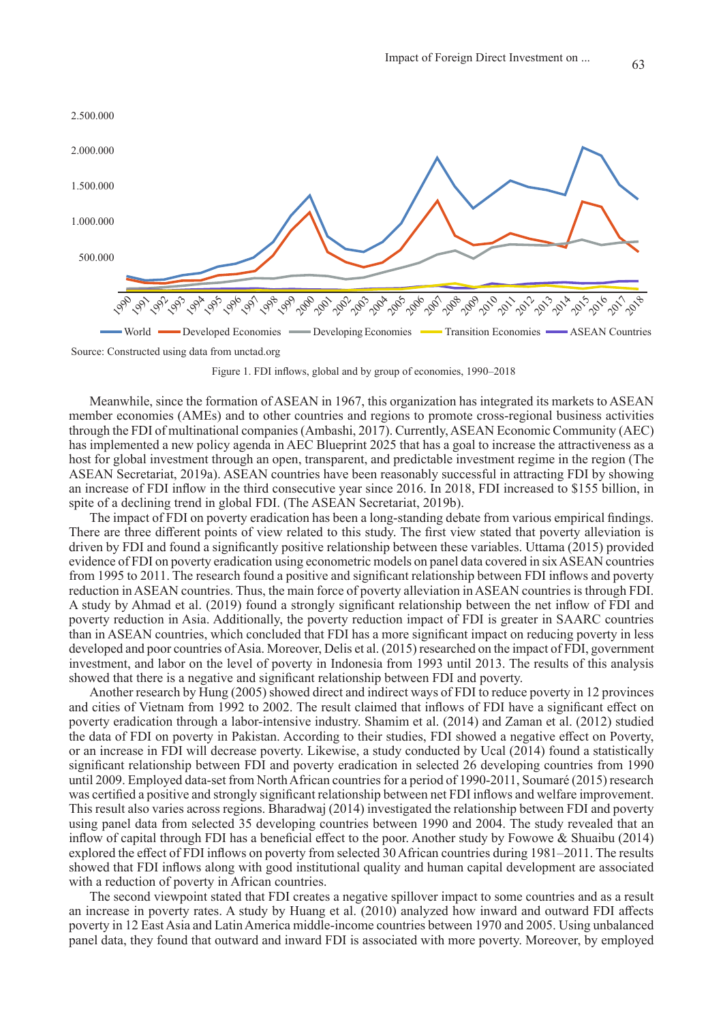

Figure 1. FDI inflows, global and by group of economies, 1990–2018

Meanwhile, since the formation of ASEAN in 1967, this organization has integrated its markets to ASEAN member economies (AMEs) and to other countries and regions to promote cross-regional business activities through the FDI of multinational companies (Ambashi, 2017). Currently, ASEAN Economic Community (AEC) has implemented a new policy agenda in AEC Blueprint 2025 that has a goal to increase the attractiveness as a host for global investment through an open, transparent, and predictable investment regime in the region (The ASEAN Secretariat, 2019a). ASEAN countries have been reasonably successful in attracting FDI by showing an increase of FDI inflow in the third consecutive year since 2016. In 2018, FDI increased to \$155 billion, in spite of a declining trend in global FDI. (The ASEAN Secretariat, 2019b).

The impact of FDI on poverty eradication has been a long-standing debate from various empirical findings. There are three different points of view related to this study. The first view stated that poverty alleviation is driven by FDI and found a significantly positive relationship between these variables. Uttama (2015) provided evidence of FDI on poverty eradication using econometric models on panel data covered in six ASEAN countries from 1995 to 2011. The research found a positive and significant relationship between FDI inflows and poverty reduction in ASEAN countries. Thus, the main force of poverty alleviation in ASEAN countries is through FDI. A study by Ahmad et al. (2019) found a strongly significant relationship between the net inflow of FDI and poverty reduction in Asia. Additionally, the poverty reduction impact of FDI is greater in SAARC countries than in ASEAN countries, which concluded that FDI has a more significant impact on reducing poverty in less developed and poor countries of Asia. Moreover, Delis et al. (2015) researched on the impact of FDI, government investment, and labor on the level of poverty in Indonesia from 1993 until 2013. The results of this analysis showed that there is a negative and significant relationship between FDI and poverty.

Another research by Hung (2005) showed direct and indirect ways of FDI to reduce poverty in 12 provinces and cities of Vietnam from 1992 to 2002. The result claimed that inflows of FDI have a significant effect on poverty eradication through a labor-intensive industry. Shamim et al. (2014) and Zaman et al. (2012) studied the data of FDI on poverty in Pakistan. According to their studies, FDI showed a negative effect on Poverty, or an increase in FDI will decrease poverty. Likewise, a study conducted by Ucal (2014) found a statistically significant relationship between FDI and poverty eradication in selected 26 developing countries from 1990 until 2009. Employed data-set from North African countries for a period of 1990-2011, Soumaré (2015) research was certified a positive and strongly significant relationship between net FDI inflows and welfare improvement. This result also varies across regions. Bharadwaj (2014) investigated the relationship between FDI and poverty using panel data from selected 35 developing countries between 1990 and 2004. The study revealed that an inflow of capital through FDI has a beneficial effect to the poor. Another study by Fowowe & Shuaibu (2014) explored the effect of FDI inflows on poverty from selected 30 African countries during 1981–2011. The results showed that FDI inflows along with good institutional quality and human capital development are associated with a reduction of poverty in African countries.

The second viewpoint stated that FDI creates a negative spillover impact to some countries and as a result an increase in poverty rates. A study by Huang et al. (2010) analyzed how inward and outward FDI affects poverty in 12 East Asia and Latin America middle-income countries between 1970 and 2005. Using unbalanced panel data, they found that outward and inward FDI is associated with more poverty. Moreover, by employed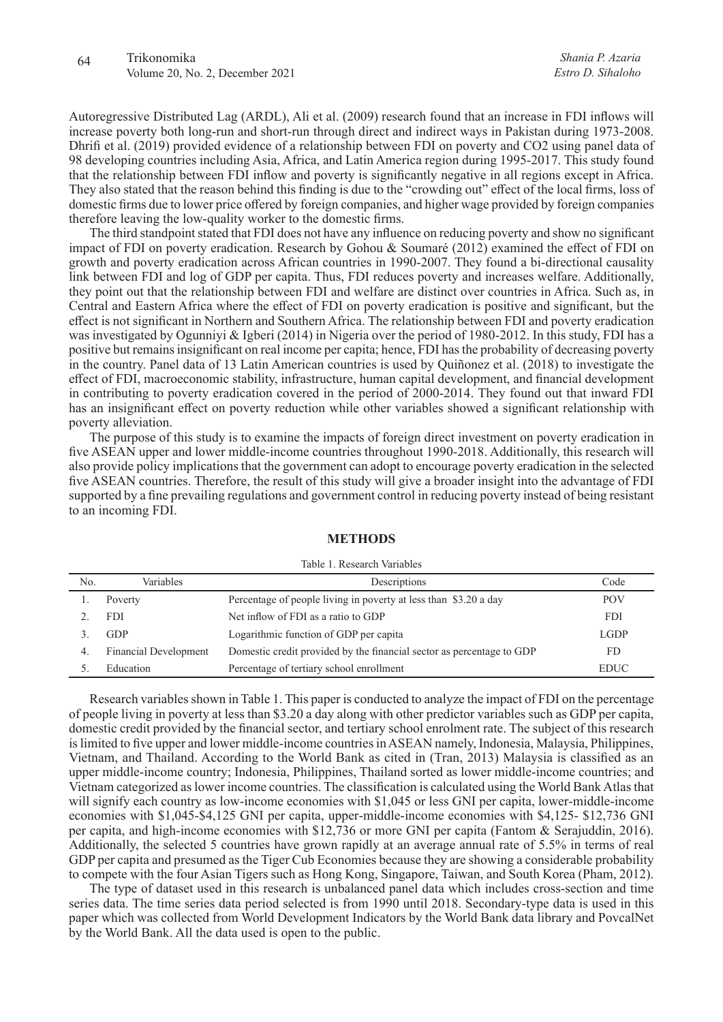Autoregressive Distributed Lag (ARDL), Ali et al. (2009) research found that an increase in FDI inflows will increase poverty both long-run and short-run through direct and indirect ways in Pakistan during 1973-2008. Dhrifi et al. (2019) provided evidence of a relationship between FDI on poverty and CO2 using panel data of 98 developing countries including Asia, Africa, and Latin America region during 1995-2017. This study found that the relationship between FDI inflow and poverty is significantly negative in all regions except in Africa. They also stated that the reason behind this finding is due to the "crowding out" effect of the local firms, loss of domestic firms due to lower price offered by foreign companies, and higher wage provided by foreign companies therefore leaving the low-quality worker to the domestic firms.

The third standpoint stated that FDI does not have any influence on reducing poverty and show no significant impact of FDI on poverty eradication. Research by Gohou & Soumaré (2012) examined the effect of FDI on growth and poverty eradication across African countries in 1990-2007. They found a bi-directional causality link between FDI and log of GDP per capita. Thus, FDI reduces poverty and increases welfare. Additionally, they point out that the relationship between FDI and welfare are distinct over countries in Africa. Such as, in Central and Eastern Africa where the effect of FDI on poverty eradication is positive and significant, but the effect is not significant in Northern and Southern Africa. The relationship between FDI and poverty eradication was investigated by Ogunniyi & Igberi (2014) in Nigeria over the period of 1980-2012. In this study, FDI has a positive but remains insignificant on real income per capita; hence, FDI has the probability of decreasing poverty in the country. Panel data of 13 Latin American countries is used by Quiñonez et al. (2018) to investigate the effect of FDI, macroeconomic stability, infrastructure, human capital development, and financial development in contributing to poverty eradication covered in the period of 2000-2014. They found out that inward FDI has an insignificant effect on poverty reduction while other variables showed a significant relationship with poverty alleviation.

The purpose of this study is to examine the impacts of foreign direct investment on poverty eradication in five ASEAN upper and lower middle-income countries throughout 1990-2018. Additionally, this research will also provide policy implications that the government can adopt to encourage poverty eradication in the selected five ASEAN countries. Therefore, the result of this study will give a broader insight into the advantage of FDI supported by a fine prevailing regulations and government control in reducing poverty instead of being resistant to an incoming FDI.

# **METHODS**

#### Table 1. Research Variables

| No. | Variables             | Descriptions                                                          | Code        |
|-----|-----------------------|-----------------------------------------------------------------------|-------------|
|     | Poverty               | Percentage of people living in poverty at less than \$3.20 a day      | <b>POV</b>  |
|     | FDI                   | Net inflow of FDI as a ratio to GDP                                   | <b>FDI</b>  |
|     | GDP                   | Logarithmic function of GDP per capita                                | LGDP        |
| 4.  | Financial Development | Domestic credit provided by the financial sector as percentage to GDP | FD          |
|     | Education             | Percentage of tertiary school enrollment                              | <b>EDUC</b> |

Research variables shown in Table 1. This paper is conducted to analyze the impact of FDI on the percentage of people living in poverty at less than \$3.20 a day along with other predictor variables such as GDP per capita, domestic credit provided by the financial sector, and tertiary school enrolment rate. The subject of this research is limited to five upper and lower middle-income countries in ASEAN namely, Indonesia, Malaysia, Philippines, Vietnam, and Thailand. According to the World Bank as cited in (Tran, 2013) Malaysia is classified as an upper middle-income country; Indonesia, Philippines, Thailand sorted as lower middle-income countries; and Vietnam categorized as lower income countries. The classification is calculated using the World Bank Atlas that will signify each country as low-income economies with \$1,045 or less GNI per capita, lower-middle-income economies with \$1,045-\$4,125 GNI per capita, upper‐middle‐income economies with \$4,125- \$12,736 GNI per capita, and high‐income economies with \$12,736 or more GNI per capita (Fantom & Serajuddin, 2016). Additionally, the selected 5 countries have grown rapidly at an average annual rate of 5.5% in terms of real GDP per capita and presumed as the Tiger Cub Economies because they are showing a considerable probability to compete with the four Asian Tigers such as Hong Kong, Singapore, Taiwan, and South Korea (Pham, 2012).

The type of dataset used in this research is unbalanced panel data which includes cross-section and time series data. The time series data period selected is from 1990 until 2018. Secondary-type data is used in this paper which was collected from World Development Indicators by the World Bank data library and PovcalNet by the World Bank. All the data used is open to the public.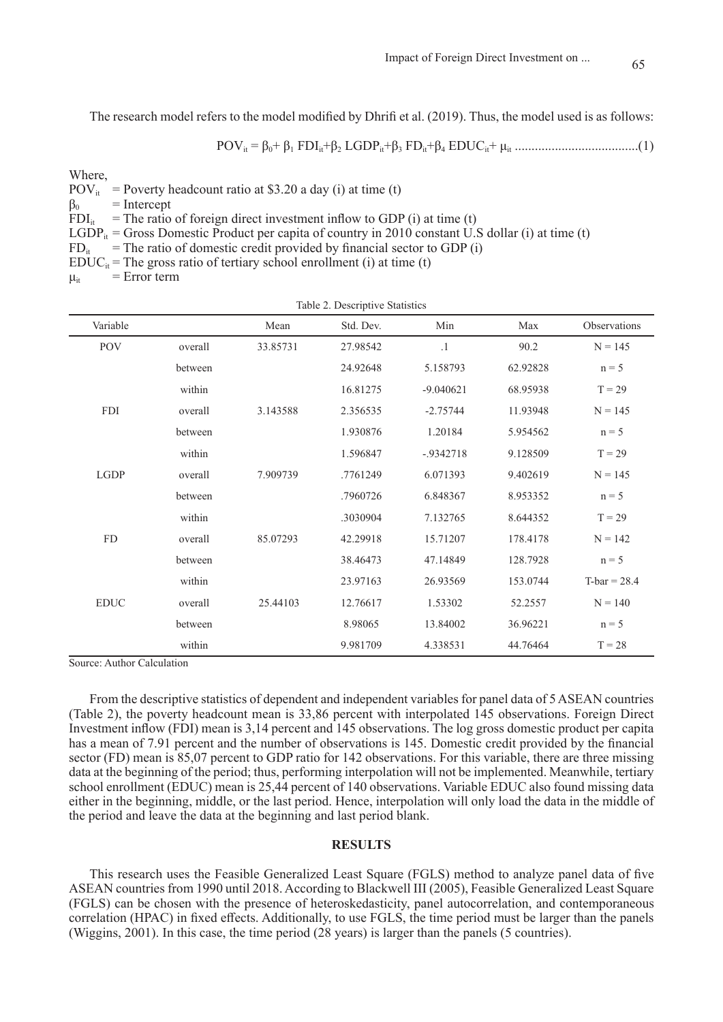The research model refers to the model modified by Dhrifi et al. (2019). Thus, the model used is as follows:

POVit = β0+ β1 FDIit+β2 LGDPit+β3 FDit+β4 EDUCit+ μit .....................................(1)

Where,

 $POV_{it}$  = Poverty headcount ratio at \$3.20 a day (i) at time (t)

 $\beta_0$  = Intercept

 $FDI_{it}$  = The ratio of foreign direct investment inflow to GDP (i) at time (t)

LGDP<sub>it</sub> = Gross Domestic Product per capita of country in 2010 constant U.S dollar (i) at time (t)

 $FD<sub>it</sub>$  = The ratio of domestic credit provided by financial sector to GDP (i)

 $EDUC_{it}$  = The gross ratio of tertiary school enrollment (i) at time (t)

 $\mu_{it}$  = Error term

| Table 2. Descriptive Statistics |         |          |           |              |          |                     |
|---------------------------------|---------|----------|-----------|--------------|----------|---------------------|
| Variable                        |         | Mean     | Std. Dev. | Min          | Max      | <b>Observations</b> |
| <b>POV</b>                      | overall | 33.85731 | 27.98542  | $\cdot$ 1    | 90.2     | $N = 145$           |
|                                 | between |          | 24.92648  | 5.158793     | 62.92828 | $n = 5$             |
|                                 | within  |          | 16.81275  | $-9.040621$  | 68.95938 | $T = 29$            |
| <b>FDI</b>                      | overall | 3.143588 | 2.356535  | $-2.75744$   | 11.93948 | $N = 145$           |
|                                 | between |          | 1.930876  | 1.20184      | 5.954562 | $n = 5$             |
|                                 | within  |          | 1.596847  | $-0.9342718$ | 9.128509 | $T = 29$            |
| <b>LGDP</b>                     | overall | 7.909739 | .7761249  | 6.071393     | 9.402619 | $N = 145$           |
|                                 | between |          | .7960726  | 6.848367     | 8.953352 | $n = 5$             |
|                                 | within  |          | .3030904  | 7.132765     | 8.644352 | $T = 29$            |
| <b>FD</b>                       | overall | 85.07293 | 42.29918  | 15.71207     | 178.4178 | $N = 142$           |
|                                 | between |          | 38.46473  | 47.14849     | 128.7928 | $n = 5$             |
|                                 | within  |          | 23.97163  | 26.93569     | 153.0744 | $T-bar = 28.4$      |
| <b>EDUC</b>                     | overall | 25.44103 | 12.76617  | 1.53302      | 52.2557  | $N = 140$           |
|                                 | between |          | 8.98065   | 13.84002     | 36.96221 | $n = 5$             |
|                                 | within  |          | 9.981709  | 4.338531     | 44.76464 | $T = 28$            |

Source: Author Calculation

From the descriptive statistics of dependent and independent variables for panel data of 5 ASEAN countries (Table 2), the poverty headcount mean is 33,86 percent with interpolated 145 observations. Foreign Direct Investment inflow (FDI) mean is 3,14 percent and 145 observations. The log gross domestic product per capita has a mean of 7.91 percent and the number of observations is 145. Domestic credit provided by the financial sector (FD) mean is 85,07 percent to GDP ratio for 142 observations. For this variable, there are three missing data at the beginning of the period; thus, performing interpolation will not be implemented. Meanwhile, tertiary school enrollment (EDUC) mean is 25,44 percent of 140 observations. Variable EDUC also found missing data either in the beginning, middle, or the last period. Hence, interpolation will only load the data in the middle of the period and leave the data at the beginning and last period blank.

## **RESULTS**

This research uses the Feasible Generalized Least Square (FGLS) method to analyze panel data of five ASEAN countries from 1990 until 2018. According to Blackwell III (2005), Feasible Generalized Least Square (FGLS) can be chosen with the presence of heteroskedasticity, panel autocorrelation, and contemporaneous correlation (HPAC) in fixed effects. Additionally, to use FGLS, the time period must be larger than the panels (Wiggins, 2001). In this case, the time period (28 years) is larger than the panels (5 countries).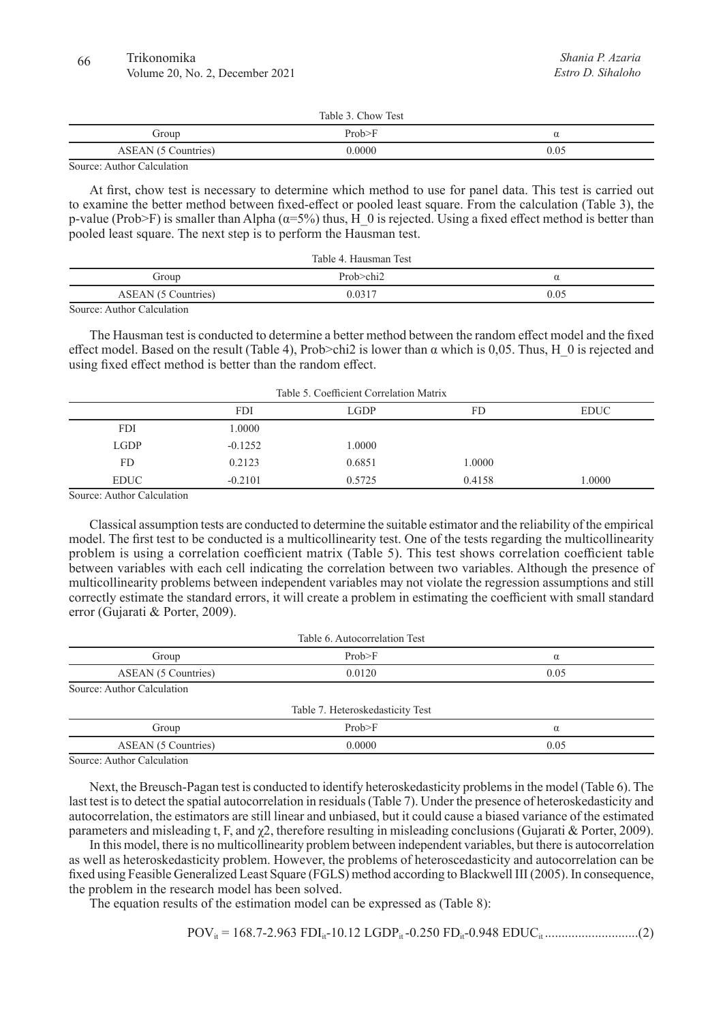# 66 Trikonomika

Volume 20, No. 2, December 2021

| Table 3. Chow Test                                       |        |      |  |  |
|----------------------------------------------------------|--------|------|--|--|
| Group                                                    | Prob>F | α    |  |  |
| ASEAN (5 Countries)                                      | 0.0000 | 0.05 |  |  |
| $\mathbf{A}$ and $\mathbf{A}$ and $\mathbf{A}$<br>$\sim$ |        |      |  |  |

Source: Author Calculation

At first, chow test is necessary to determine which method to use for panel data. This test is carried out to examine the better method between fixed-effect or pooled least square. From the calculation (Table 3), the p-value (Prob>F) is smaller than Alpha ( $\alpha$ =5%) thus,  $\hat{H}$  0 is rejected. Using a fixed effect method is better than pooled least square. The next step is to perform the Hausman test.

| Table 4. Hausman Test     |             |      |  |
|---------------------------|-------------|------|--|
| Group                     | Prob > chi2 |      |  |
| ASEAN (5 Countries)       | በ በ317      | 0.05 |  |
| Corneo Anthon Coloniation |             |      |  |

Source: Author Calculation

The Hausman test is conducted to determine a better method between the random effect model and the fixed effect model. Based on the result (Table 4), Prob $>$ chi2 is lower than  $\alpha$  which is 0,05. Thus, H\_0 is rejected and using fixed effect method is better than the random effect.

|             |            | Table 5. Coefficient Correlation Matrix |        |             |
|-------------|------------|-----------------------------------------|--------|-------------|
|             | <b>FDI</b> | <b>LGDP</b>                             | FD     | <b>EDUC</b> |
| <b>FDI</b>  | 1.0000     |                                         |        |             |
| LGDP        | $-0.1252$  | 1.0000                                  |        |             |
| FD          | 0.2123     | 0.6851                                  | 1.0000 |             |
| <b>EDUC</b> | $-0.2101$  | 0.5725                                  | 0.4158 | 0000.       |

Source: Author Calculation

Classical assumption tests are conducted to determine the suitable estimator and the reliability of the empirical model. The first test to be conducted is a multicollinearity test. One of the tests regarding the multicollinearity problem is using a correlation coefficient matrix (Table 5). This test shows correlation coefficient table between variables with each cell indicating the correlation between two variables. Although the presence of multicollinearity problems between independent variables may not violate the regression assumptions and still correctly estimate the standard errors, it will create a problem in estimating the coefficient with small standard error (Gujarati & Porter, 2009).

| Table 6. Autocorrelation Test |                                  |          |  |  |
|-------------------------------|----------------------------------|----------|--|--|
| Group                         | Prob>F                           | $\alpha$ |  |  |
| ASEAN (5 Countries)           | 0.0120                           | 0.05     |  |  |
| Source: Author Calculation    |                                  |          |  |  |
|                               | Table 7. Heteroskedasticity Test |          |  |  |
| Group                         | Prob>F                           | α        |  |  |
| ASEAN (5 Countries)           | 0.0000                           | 0.05     |  |  |

Source: Author Calculation

Next, the Breusch-Pagan test is conducted to identify heteroskedasticity problems in the model (Table 6). The last test is to detect the spatial autocorrelation in residuals (Table 7). Under the presence of heteroskedasticity and autocorrelation, the estimators are still linear and unbiased, but it could cause a biased variance of the estimated parameters and misleading t, F, and χ2, therefore resulting in misleading conclusions (Gujarati & Porter, 2009).

In this model, there is no multicollinearity problem between independent variables, but there is autocorrelation as well as heteroskedasticity problem. However, the problems of heteroscedasticity and autocorrelation can be fixed using Feasible Generalized Least Square (FGLS) method according to Blackwell III (2005). In consequence, the problem in the research model has been solved.

The equation results of the estimation model can be expressed as (Table 8):

POVit = 168.7-2.963 FDIit-10.12 LGDPit -0.250 FDit-0.948 EDUCit ............................(2)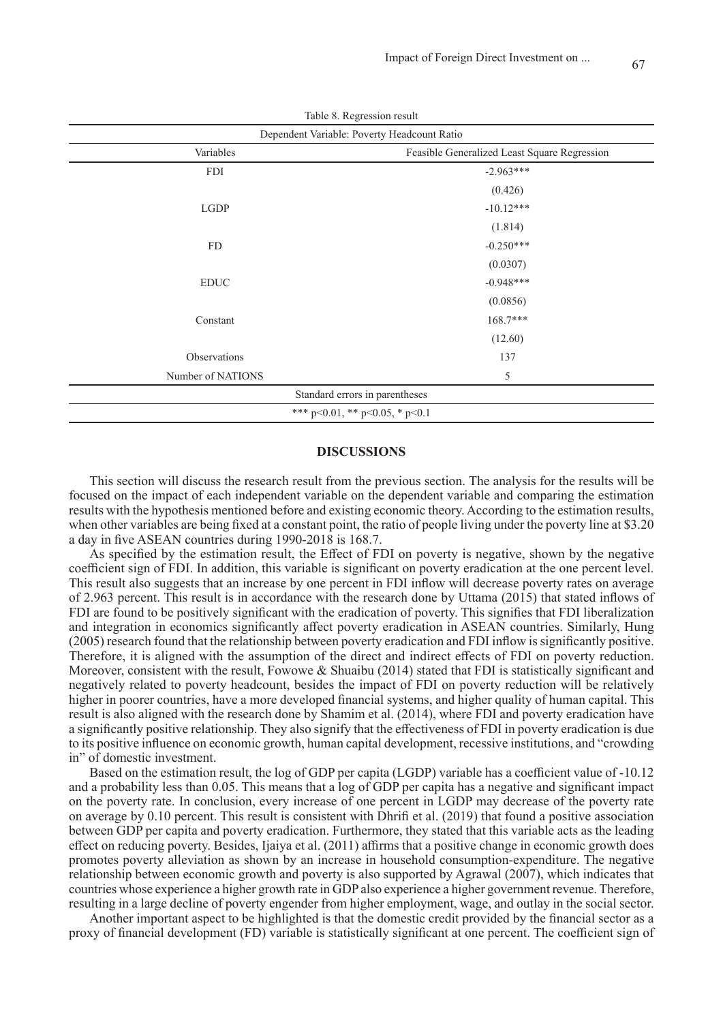| Table 6. Regression result                                |  |  |  |
|-----------------------------------------------------------|--|--|--|
| Dependent Variable: Poverty Headcount Ratio               |  |  |  |
| Variables<br>Feasible Generalized Least Square Regression |  |  |  |
| $-2.963***$                                               |  |  |  |
| (0.426)                                                   |  |  |  |
| $-10.12***$                                               |  |  |  |
| (1.814)                                                   |  |  |  |
| $-0.250***$                                               |  |  |  |
| (0.0307)                                                  |  |  |  |
| $-0.948***$                                               |  |  |  |
| (0.0856)                                                  |  |  |  |
| 168.7***                                                  |  |  |  |
| (12.60)                                                   |  |  |  |
| 137                                                       |  |  |  |
| 5                                                         |  |  |  |
| Standard errors in parentheses                            |  |  |  |
| *** $p<0.01$ , ** $p<0.05$ , * $p<0.1$                    |  |  |  |
|                                                           |  |  |  |

Table 8. Regression result

#### **DISCUSSIONS**

This section will discuss the research result from the previous section. The analysis for the results will be focused on the impact of each independent variable on the dependent variable and comparing the estimation results with the hypothesis mentioned before and existing economic theory. According to the estimation results, when other variables are being fixed at a constant point, the ratio of people living under the poverty line at \$3.20 a day in five ASEAN countries during 1990-2018 is 168.7.

As specified by the estimation result, the Effect of FDI on poverty is negative, shown by the negative coefficient sign of FDI. In addition, this variable is significant on poverty eradication at the one percent level. This result also suggests that an increase by one percent in FDI inflow will decrease poverty rates on average of 2.963 percent. This result is in accordance with the research done by Uttama (2015) that stated inflows of FDI are found to be positively significant with the eradication of poverty. This signifies that FDI liberalization and integration in economics significantly affect poverty eradication in ASEAN countries. Similarly, Hung (2005) research found that the relationship between poverty eradication and FDI inflow is significantly positive. Therefore, it is aligned with the assumption of the direct and indirect effects of FDI on poverty reduction. Moreover, consistent with the result, Fowowe & Shuaibu (2014) stated that FDI is statistically significant and negatively related to poverty headcount, besides the impact of FDI on poverty reduction will be relatively higher in poorer countries, have a more developed financial systems, and higher quality of human capital. This result is also aligned with the research done by Shamim et al. (2014), where FDI and poverty eradication have a significantly positive relationship. They also signify that the effectiveness of FDI in poverty eradication is due to its positive influence on economic growth, human capital development, recessive institutions, and "crowding in" of domestic investment.

Based on the estimation result, the log of GDP per capita (LGDP) variable has a coefficient value of -10.12 and a probability less than 0.05. This means that a log of GDP per capita has a negative and significant impact on the poverty rate. In conclusion, every increase of one percent in LGDP may decrease of the poverty rate on average by 0.10 percent. This result is consistent with Dhrifi et al. (2019) that found a positive association between GDP per capita and poverty eradication. Furthermore, they stated that this variable acts as the leading effect on reducing poverty. Besides, Ijaiya et al. (2011) affirms that a positive change in economic growth does promotes poverty alleviation as shown by an increase in household consumption-expenditure. The negative relationship between economic growth and poverty is also supported by Agrawal (2007), which indicates that countries whose experience a higher growth rate in GDP also experience a higher government revenue. Therefore, resulting in a large decline of poverty engender from higher employment, wage, and outlay in the social sector.

Another important aspect to be highlighted is that the domestic credit provided by the financial sector as a proxy of financial development (FD) variable is statistically significant at one percent. The coefficient sign of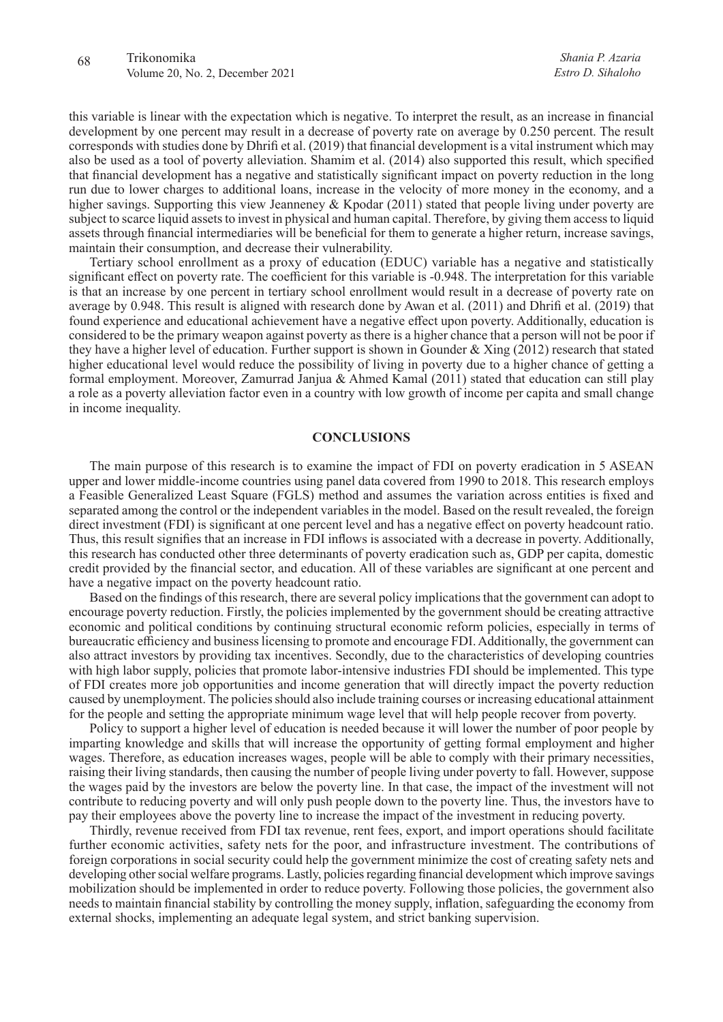this variable is linear with the expectation which is negative. To interpret the result, as an increase in financial development by one percent may result in a decrease of poverty rate on average by 0.250 percent. The result corresponds with studies done by Dhrifi et al. (2019) that financial development is a vital instrument which may also be used as a tool of poverty alleviation. Shamim et al. (2014) also supported this result, which specified that financial development has a negative and statistically significant impact on poverty reduction in the long run due to lower charges to additional loans, increase in the velocity of more money in the economy, and a higher savings. Supporting this view Jeanneney & Kpodar (2011) stated that people living under poverty are subject to scarce liquid assets to invest in physical and human capital. Therefore, by giving them access to liquid assets through financial intermediaries will be beneficial for them to generate a higher return, increase savings, maintain their consumption, and decrease their vulnerability.

Tertiary school enrollment as a proxy of education (EDUC) variable has a negative and statistically significant effect on poverty rate. The coefficient for this variable is -0.948. The interpretation for this variable is that an increase by one percent in tertiary school enrollment would result in a decrease of poverty rate on average by 0.948. This result is aligned with research done by Awan et al. (2011) and Dhrifi et al. (2019) that found experience and educational achievement have a negative effect upon poverty. Additionally, education is considered to be the primary weapon against poverty as there is a higher chance that a person will not be poor if they have a higher level of education. Further support is shown in Gounder & Xing (2012) research that stated higher educational level would reduce the possibility of living in poverty due to a higher chance of getting a formal employment. Moreover, Zamurrad Janjua & Ahmed Kamal (2011) stated that education can still play a role as a poverty alleviation factor even in a country with low growth of income per capita and small change in income inequality.

# **CONCLUSIONS**

The main purpose of this research is to examine the impact of FDI on poverty eradication in 5 ASEAN upper and lower middle-income countries using panel data covered from 1990 to 2018. This research employs a Feasible Generalized Least Square (FGLS) method and assumes the variation across entities is fixed and separated among the control or the independent variables in the model. Based on the result revealed, the foreign direct investment (FDI) is significant at one percent level and has a negative effect on poverty headcount ratio. Thus, this result signifies that an increase in FDI inflows is associated with a decrease in poverty. Additionally, this research has conducted other three determinants of poverty eradication such as, GDP per capita, domestic credit provided by the financial sector, and education. All of these variables are significant at one percent and have a negative impact on the poverty headcount ratio.

Based on the findings of this research, there are several policy implications that the government can adopt to encourage poverty reduction. Firstly, the policies implemented by the government should be creating attractive economic and political conditions by continuing structural economic reform policies, especially in terms of bureaucratic efficiency and business licensing to promote and encourage FDI. Additionally, the government can also attract investors by providing tax incentives. Secondly, due to the characteristics of developing countries with high labor supply, policies that promote labor-intensive industries FDI should be implemented. This type of FDI creates more job opportunities and income generation that will directly impact the poverty reduction caused by unemployment. The policies should also include training courses or increasing educational attainment for the people and setting the appropriate minimum wage level that will help people recover from poverty.

Policy to support a higher level of education is needed because it will lower the number of poor people by imparting knowledge and skills that will increase the opportunity of getting formal employment and higher wages. Therefore, as education increases wages, people will be able to comply with their primary necessities, raising their living standards, then causing the number of people living under poverty to fall. However, suppose the wages paid by the investors are below the poverty line. In that case, the impact of the investment will not contribute to reducing poverty and will only push people down to the poverty line. Thus, the investors have to pay their employees above the poverty line to increase the impact of the investment in reducing poverty.

Thirdly, revenue received from FDI tax revenue, rent fees, export, and import operations should facilitate further economic activities, safety nets for the poor, and infrastructure investment. The contributions of foreign corporations in social security could help the government minimize the cost of creating safety nets and developing other social welfare programs. Lastly, policies regarding financial development which improve savings mobilization should be implemented in order to reduce poverty. Following those policies, the government also needs to maintain financial stability by controlling the money supply, inflation, safeguarding the economy from external shocks, implementing an adequate legal system, and strict banking supervision.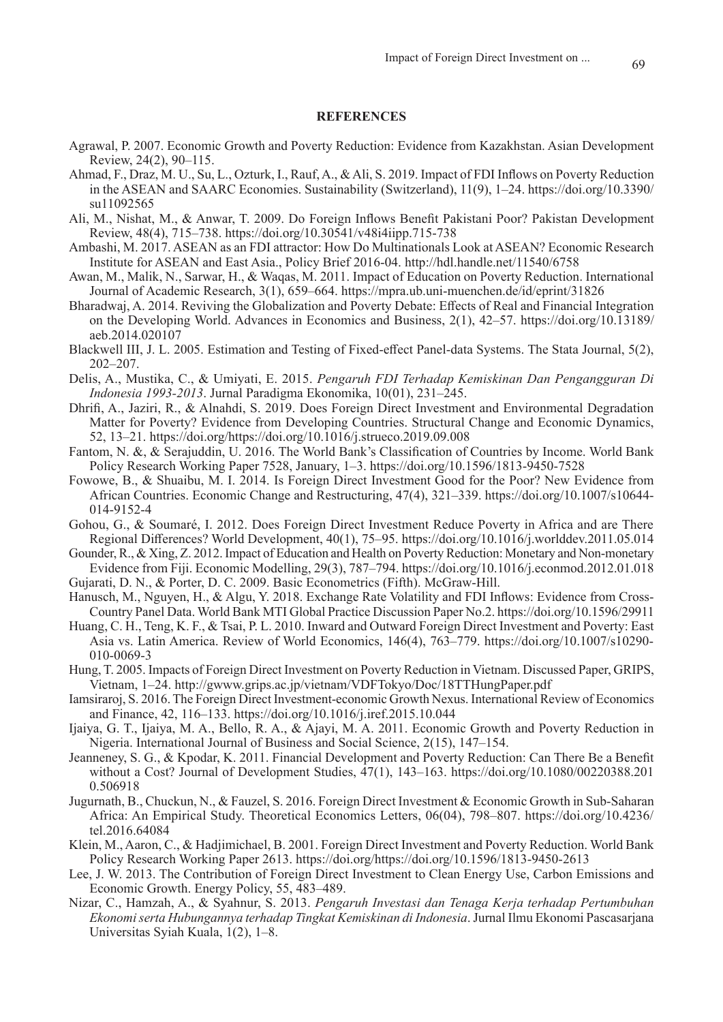# **REFERENCES**

- Agrawal, P. 2007. Economic Growth and Poverty Reduction: Evidence from Kazakhstan. Asian Development Review, 24(2), 90–115.
- Ahmad, F., Draz, M. U., Su, L., Ozturk, I., Rauf, A., & Ali, S. 2019. Impact of FDI Inflows on Poverty Reduction in the ASEAN and SAARC Economies. Sustainability (Switzerland), 11(9), 1–24. https://doi.org/10.3390/ su11092565
- Ali, M., Nishat, M., & Anwar, T. 2009. Do Foreign Inflows Benefit Pakistani Poor? Pakistan Development Review, 48(4), 715–738. https://doi.org/10.30541/v48i4iipp.715-738
- Ambashi, M. 2017. ASEAN as an FDI attractor: How Do Multinationals Look at ASEAN? Economic Research Institute for ASEAN and East Asia., Policy Brief 2016-04. http://hdl.handle.net/11540/6758
- Awan, M., Malik, N., Sarwar, H., & Waqas, M. 2011. Impact of Education on Poverty Reduction. International Journal of Academic Research, 3(1), 659–664. https://mpra.ub.uni-muenchen.de/id/eprint/31826
- Bharadwaj, A. 2014. Reviving the Globalization and Poverty Debate: Effects of Real and Financial Integration on the Developing World. Advances in Economics and Business, 2(1), 42–57. https://doi.org/10.13189/ aeb.2014.020107
- Blackwell III, J. L. 2005. Estimation and Testing of Fixed-effect Panel-data Systems. The Stata Journal, 5(2), 202–207.
- Delis, A., Mustika, C., & Umiyati, E. 2015. *Pengaruh FDI Terhadap Kemiskinan Dan Pengangguran Di Indonesia 1993-2013*. Jurnal Paradigma Ekonomika, 10(01), 231–245.
- Dhrifi, A., Jaziri, R., & Alnahdi, S. 2019. Does Foreign Direct Investment and Environmental Degradation Matter for Poverty? Evidence from Developing Countries. Structural Change and Economic Dynamics, 52, 13–21. https://doi.org/https://doi.org/10.1016/j.strueco.2019.09.008
- Fantom, N. &, & Serajuddin, U. 2016. The World Bank's Classification of Countries by Income. World Bank Policy Research Working Paper 7528, January, 1–3. https://doi.org/10.1596/1813-9450-7528
- Fowowe, B., & Shuaibu, M. I. 2014. Is Foreign Direct Investment Good for the Poor? New Evidence from African Countries. Economic Change and Restructuring, 47(4), 321–339. https://doi.org/10.1007/s10644- 014-9152-4
- Gohou, G., & Soumaré, I. 2012. Does Foreign Direct Investment Reduce Poverty in Africa and are There Regional Differences? World Development, 40(1), 75–95. https://doi.org/10.1016/j.worlddev.2011.05.014
- Gounder, R., & Xing, Z. 2012. Impact of Education and Health on Poverty Reduction: Monetary and Non-monetary Evidence from Fiji. Economic Modelling, 29(3), 787–794. https://doi.org/10.1016/j.econmod.2012.01.018
- Gujarati, D. N., & Porter, D. C. 2009. Basic Econometrics (Fifth). McGraw-Hill.
- Hanusch, M., Nguyen, H., & Algu, Y. 2018. Exchange Rate Volatility and FDI Inflows: Evidence from Cross-Country Panel Data. World Bank MTI Global Practice Discussion Paper No.2. https://doi.org/10.1596/29911
- Huang, C. H., Teng, K. F., & Tsai, P. L. 2010. Inward and Outward Foreign Direct Investment and Poverty: East Asia vs. Latin America. Review of World Economics, 146(4), 763–779. https://doi.org/10.1007/s10290- 010-0069-3
- Hung, T. 2005. Impacts of Foreign Direct Investment on Poverty Reduction in Vietnam. Discussed Paper, GRIPS, Vietnam, 1–24. http://gwww.grips.ac.jp/vietnam/VDFTokyo/Doc/18TTHungPaper.pdf
- Iamsiraroj, S. 2016. The Foreign Direct Investment-economic Growth Nexus. International Review of Economics and Finance, 42, 116–133. https://doi.org/10.1016/j.iref.2015.10.044
- Ijaiya, G. T., Ijaiya, M. A., Bello, R. A., & Ajayi, M. A. 2011. Economic Growth and Poverty Reduction in Nigeria. International Journal of Business and Social Science, 2(15), 147–154.
- Jeanneney, S. G., & Kpodar, K. 2011. Financial Development and Poverty Reduction: Can There Be a Benefit without a Cost? Journal of Development Studies, 47(1), 143–163. https://doi.org/10.1080/00220388.201 0.506918
- Jugurnath, B., Chuckun, N., & Fauzel, S. 2016. Foreign Direct Investment & Economic Growth in Sub-Saharan Africa: An Empirical Study. Theoretical Economics Letters, 06(04), 798–807. https://doi.org/10.4236/ tel.2016.64084
- Klein, M., Aaron, C., & Hadjimichael, B. 2001. Foreign Direct Investment and Poverty Reduction. World Bank Policy Research Working Paper 2613. https://doi.org/https://doi.org/10.1596/1813-9450-2613
- Lee, J. W. 2013. The Contribution of Foreign Direct Investment to Clean Energy Use, Carbon Emissions and Economic Growth. Energy Policy, 55, 483–489.
- Nizar, C., Hamzah, A., & Syahnur, S. 2013. *Pengaruh Investasi dan Tenaga Kerja terhadap Pertumbuhan Ekonomi serta Hubungannya terhadap Tingkat Kemiskinan di Indonesia*. Jurnal Ilmu Ekonomi Pascasarjana Universitas Syiah Kuala, 1(2), 1–8.